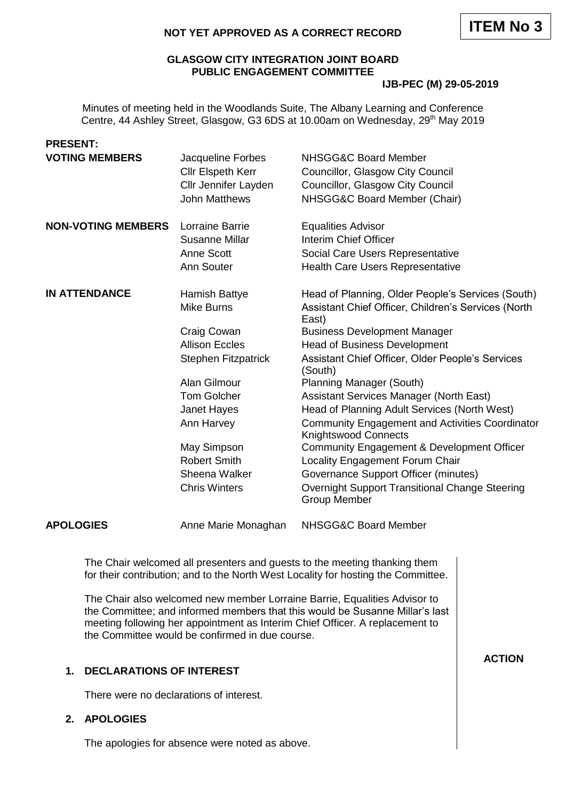## **GLASGOW CITY INTEGRATION JOINT BOARD PUBLIC ENGAGEMENT COMMITTEE**

#### **IJB-PEC (M) 29-05-2019**

Minutes of meeting held in the Woodlands Suite, The Albany Learning and Conference Centre, 44 Ashley Street, Glasgow, G3 6DS at 10.00am on Wednesday, 29<sup>th</sup> May 2019

| <b>PRESENT:</b>           |                                               |                                                                                                                                                                |
|---------------------------|-----------------------------------------------|----------------------------------------------------------------------------------------------------------------------------------------------------------------|
| <b>VOTING MEMBERS</b>     | Jacqueline Forbes<br><b>Cllr Elspeth Kerr</b> | NHSGG&C Board Member<br>Councillor, Glasgow City Council                                                                                                       |
|                           | Cllr Jennifer Layden                          | Councillor, Glasgow City Council                                                                                                                               |
|                           | <b>John Matthews</b>                          | NHSGG&C Board Member (Chair)                                                                                                                                   |
|                           |                                               |                                                                                                                                                                |
| <b>NON-VOTING MEMBERS</b> | Lorraine Barrie                               | <b>Equalities Advisor</b>                                                                                                                                      |
|                           | Susanne Millar                                | Interim Chief Officer                                                                                                                                          |
|                           | Anne Scott                                    | Social Care Users Representative                                                                                                                               |
|                           | Ann Souter                                    | Health Care Users Representative                                                                                                                               |
| <b>IN ATTENDANCE</b>      | Hamish Battye                                 | Head of Planning, Older People's Services (South)                                                                                                              |
|                           | <b>Mike Burns</b>                             | Assistant Chief Officer, Children's Services (North<br>East)                                                                                                   |
|                           | Craig Cowan                                   | <b>Business Development Manager</b>                                                                                                                            |
|                           | <b>Allison Eccles</b>                         | <b>Head of Business Development</b>                                                                                                                            |
|                           | <b>Stephen Fitzpatrick</b>                    | Assistant Chief Officer, Older People's Services<br>(South)                                                                                                    |
|                           | Alan Gilmour                                  | <b>Planning Manager (South)</b>                                                                                                                                |
|                           | <b>Tom Golcher</b>                            | Assistant Services Manager (North East)                                                                                                                        |
|                           | Janet Hayes                                   | Head of Planning Adult Services (North West)                                                                                                                   |
|                           | Ann Harvey                                    | <b>Community Engagement and Activities Coordinator</b><br><b>Knightswood Connects</b>                                                                          |
|                           | May Simpson                                   | Community Engagement & Development Officer                                                                                                                     |
|                           | <b>Robert Smith</b>                           | Locality Engagement Forum Chair                                                                                                                                |
|                           | Sheena Walker                                 | Governance Support Officer (minutes)                                                                                                                           |
|                           | <b>Chris Winters</b>                          | Overnight Support Transitional Change Steering<br><b>Group Member</b>                                                                                          |
| <b>APOLOGIES</b>          | Anne Marie Monaghan                           | NHSGG&C Board Member                                                                                                                                           |
|                           |                                               | The Chair welcomed all presenters and guests to the meeting thanking them<br>for their contribution; and to the North West Locality for hosting the Committee. |
|                           |                                               | The Chair also welcomed new member Lorraine Barrie, Equalities Advisor to<br>the Committee; and informed members that this would be Susanne Millar's last      |

meeting following her appointment as Interim Chief Officer. A replacement to

**ACTION**

# **1. DECLARATIONS OF INTEREST**

There were no declarations of interest.

## **2. APOLOGIES**

The apologies for absence were noted as above.

the Committee would be confirmed in due course.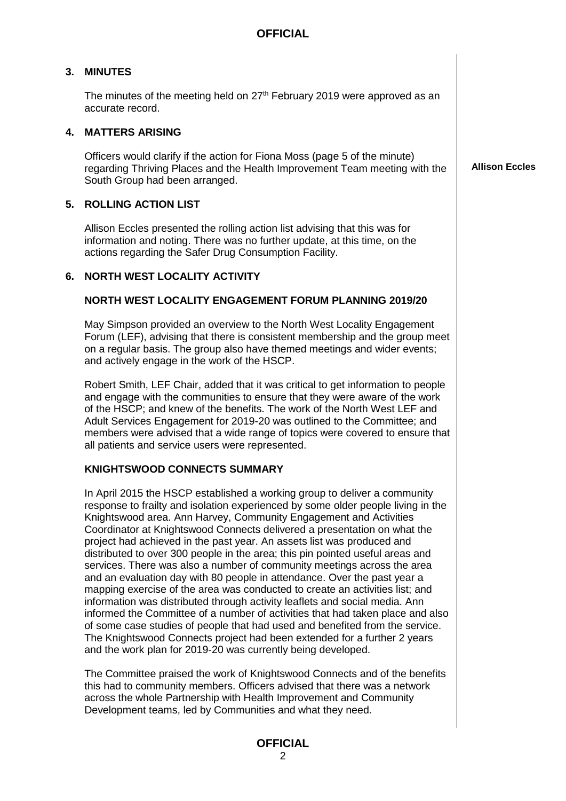## **3. MINUTES**

The minutes of the meeting held on  $27<sup>th</sup>$  February 2019 were approved as an accurate record.

#### **4. MATTERS ARISING**

Officers would clarify if the action for Fiona Moss (page 5 of the minute) regarding Thriving Places and the Health Improvement Team meeting with the South Group had been arranged.

**Allison Eccles**

#### **5. ROLLING ACTION LIST**

Allison Eccles presented the rolling action list advising that this was for information and noting. There was no further update, at this time, on the actions regarding the Safer Drug Consumption Facility.

#### **6. NORTH WEST LOCALITY ACTIVITY**

#### **NORTH WEST LOCALITY ENGAGEMENT FORUM PLANNING 2019/20**

May Simpson provided an overview to the North West Locality Engagement Forum (LEF), advising that there is consistent membership and the group meet on a regular basis. The group also have themed meetings and wider events; and actively engage in the work of the HSCP.

Robert Smith, LEF Chair, added that it was critical to get information to people and engage with the communities to ensure that they were aware of the work of the HSCP; and knew of the benefits. The work of the North West LEF and Adult Services Engagement for 2019-20 was outlined to the Committee; and members were advised that a wide range of topics were covered to ensure that all patients and service users were represented.

#### **KNIGHTSWOOD CONNECTS SUMMARY**

In April 2015 the HSCP established a working group to deliver a community response to frailty and isolation experienced by some older people living in the Knightswood area. Ann Harvey, Community Engagement and Activities Coordinator at Knightswood Connects delivered a presentation on what the project had achieved in the past year. An assets list was produced and distributed to over 300 people in the area; this pin pointed useful areas and services. There was also a number of community meetings across the area and an evaluation day with 80 people in attendance. Over the past year a mapping exercise of the area was conducted to create an activities list; and information was distributed through activity leaflets and social media. Ann informed the Committee of a number of activities that had taken place and also of some case studies of people that had used and benefited from the service. The Knightswood Connects project had been extended for a further 2 years and the work plan for 2019-20 was currently being developed.

The Committee praised the work of Knightswood Connects and of the benefits this had to community members. Officers advised that there was a network across the whole Partnership with Health Improvement and Community Development teams, led by Communities and what they need.

#### **OFFICIAL**  $\mathfrak{D}$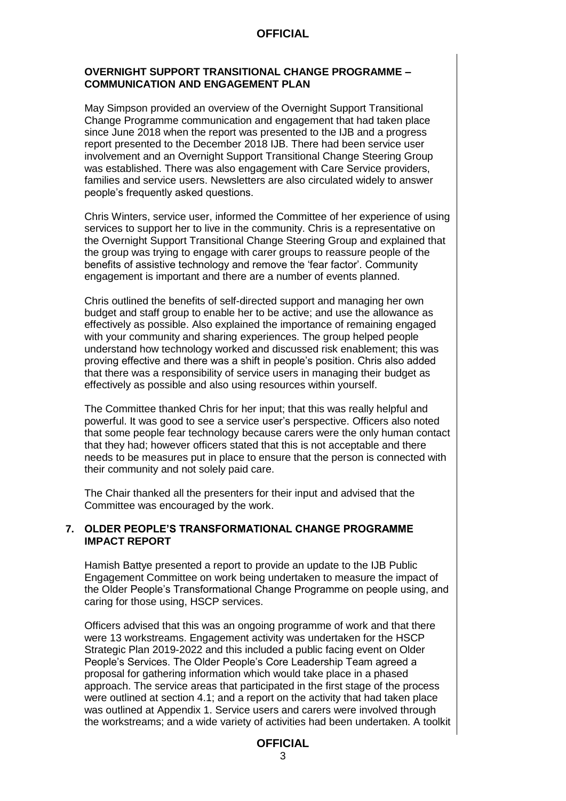### **OVERNIGHT SUPPORT TRANSITIONAL CHANGE PROGRAMME – COMMUNICATION AND ENGAGEMENT PLAN**

May Simpson provided an overview of the Overnight Support Transitional Change Programme communication and engagement that had taken place since June 2018 when the report was presented to the IJB and a progress report presented to the December 2018 IJB. There had been service user involvement and an Overnight Support Transitional Change Steering Group was established. There was also engagement with Care Service providers, families and service users. Newsletters are also circulated widely to answer people's frequently asked questions.

Chris Winters, service user, informed the Committee of her experience of using services to support her to live in the community. Chris is a representative on the Overnight Support Transitional Change Steering Group and explained that the group was trying to engage with carer groups to reassure people of the benefits of assistive technology and remove the 'fear factor'. Community engagement is important and there are a number of events planned.

Chris outlined the benefits of self-directed support and managing her own budget and staff group to enable her to be active; and use the allowance as effectively as possible. Also explained the importance of remaining engaged with your community and sharing experiences. The group helped people understand how technology worked and discussed risk enablement; this was proving effective and there was a shift in people's position. Chris also added that there was a responsibility of service users in managing their budget as effectively as possible and also using resources within yourself.

The Committee thanked Chris for her input; that this was really helpful and powerful. It was good to see a service user's perspective. Officers also noted that some people fear technology because carers were the only human contact that they had; however officers stated that this is not acceptable and there needs to be measures put in place to ensure that the person is connected with their community and not solely paid care.

The Chair thanked all the presenters for their input and advised that the Committee was encouraged by the work.

## **7. OLDER PEOPLE'S TRANSFORMATIONAL CHANGE PROGRAMME IMPACT REPORT**

Hamish Battye presented a report to provide an update to the IJB Public Engagement Committee on work being undertaken to measure the impact of the Older People's Transformational Change Programme on people using, and caring for those using, HSCP services.

Officers advised that this was an ongoing programme of work and that there were 13 workstreams. Engagement activity was undertaken for the HSCP Strategic Plan 2019-2022 and this included a public facing event on Older People's Services. The Older People's Core Leadership Team agreed a proposal for gathering information which would take place in a phased approach. The service areas that participated in the first stage of the process were outlined at section 4.1; and a report on the activity that had taken place was outlined at Appendix 1. Service users and carers were involved through the workstreams; and a wide variety of activities had been undertaken. A toolkit

# **OFFICIAL**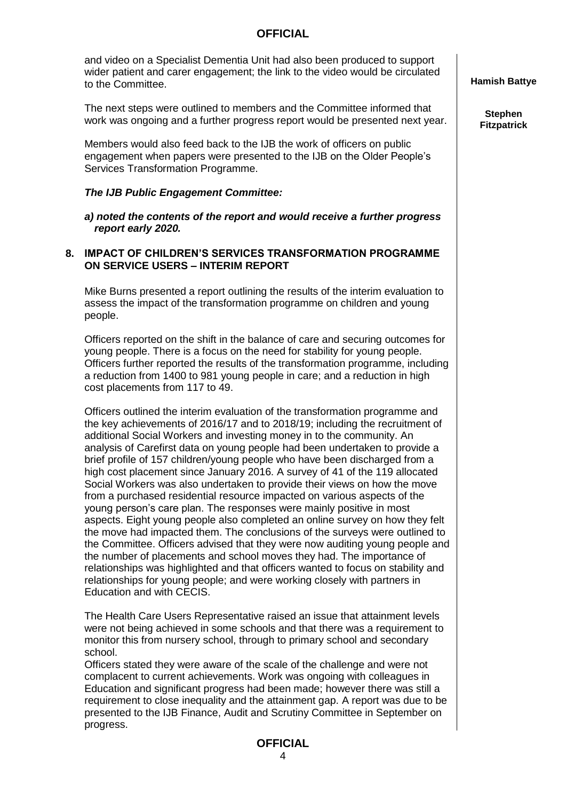| and video on a Specialist Dementia Unit had also been produced to support     |
|-------------------------------------------------------------------------------|
| wider patient and carer engagement; the link to the video would be circulated |
| to the Committee.                                                             |

The next steps were outlined to members and the Committee informed that work was ongoing and a further progress report would be presented next year.

Members would also feed back to the IJB the work of officers on public engagement when papers were presented to the IJB on the Older People's Services Transformation Programme.

#### *The IJB Public Engagement Committee:*

*a) noted the contents of the report and would receive a further progress report early 2020.*

#### **8. IMPACT OF CHILDREN'S SERVICES TRANSFORMATION PROGRAMME ON SERVICE USERS – INTERIM REPORT**

Mike Burns presented a report outlining the results of the interim evaluation to assess the impact of the transformation programme on children and young people.

Officers reported on the shift in the balance of care and securing outcomes for young people. There is a focus on the need for stability for young people. Officers further reported the results of the transformation programme, including a reduction from 1400 to 981 young people in care; and a reduction in high cost placements from 117 to 49.

Officers outlined the interim evaluation of the transformation programme and the key achievements of 2016/17 and to 2018/19; including the recruitment of additional Social Workers and investing money in to the community. An analysis of Carefirst data on young people had been undertaken to provide a brief profile of 157 children/young people who have been discharged from a high cost placement since January 2016. A survey of 41 of the 119 allocated Social Workers was also undertaken to provide their views on how the move from a purchased residential resource impacted on various aspects of the young person's care plan. The responses were mainly positive in most aspects. Eight young people also completed an online survey on how they felt the move had impacted them. The conclusions of the surveys were outlined to the Committee. Officers advised that they were now auditing young people and the number of placements and school moves they had. The importance of relationships was highlighted and that officers wanted to focus on stability and relationships for young people; and were working closely with partners in Education and with CECIS.

The Health Care Users Representative raised an issue that attainment levels were not being achieved in some schools and that there was a requirement to monitor this from nursery school, through to primary school and secondary school.

Officers stated they were aware of the scale of the challenge and were not complacent to current achievements. Work was ongoing with colleagues in Education and significant progress had been made; however there was still a requirement to close inequality and the attainment gap. A report was due to be presented to the IJB Finance, Audit and Scrutiny Committee in September on progress.

**Hamish Battye**

**Stephen Fitzpatrick**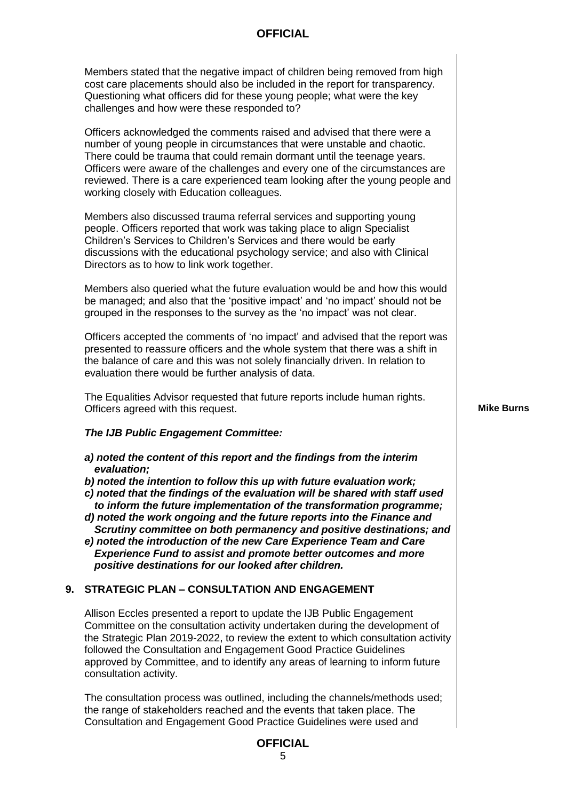Members stated that the negative impact of children being removed from high cost care placements should also be included in the report for transparency. Questioning what officers did for these young people; what were the key challenges and how were these responded to?

Officers acknowledged the comments raised and advised that there were a number of young people in circumstances that were unstable and chaotic. There could be trauma that could remain dormant until the teenage years. Officers were aware of the challenges and every one of the circumstances are reviewed. There is a care experienced team looking after the young people and working closely with Education colleagues.

Members also discussed trauma referral services and supporting young people. Officers reported that work was taking place to align Specialist Children's Services to Children's Services and there would be early discussions with the educational psychology service; and also with Clinical Directors as to how to link work together.

Members also queried what the future evaluation would be and how this would be managed; and also that the 'positive impact' and 'no impact' should not be grouped in the responses to the survey as the 'no impact' was not clear.

Officers accepted the comments of 'no impact' and advised that the report was presented to reassure officers and the whole system that there was a shift in the balance of care and this was not solely financially driven. In relation to evaluation there would be further analysis of data.

The Equalities Advisor requested that future reports include human rights. Officers agreed with this request.

### *The IJB Public Engagement Committee:*

- *a) noted the content of this report and the findings from the interim evaluation;*
- *b) noted the intention to follow this up with future evaluation work;*
- *c) noted that the findings of the evaluation will be shared with staff used to inform the future implementation of the transformation programme;*
- *d) noted the work ongoing and the future reports into the Finance and Scrutiny committee on both permanency and positive destinations; and*
- *e) noted the introduction of the new Care Experience Team and Care Experience Fund to assist and promote better outcomes and more positive destinations for our looked after children.*

## **9. STRATEGIC PLAN – CONSULTATION AND ENGAGEMENT**

Allison Eccles presented a report to update the IJB Public Engagement Committee on the consultation activity undertaken during the development of the Strategic Plan 2019-2022, to review the extent to which consultation activity followed the Consultation and Engagement Good Practice Guidelines approved by Committee, and to identify any areas of learning to inform future consultation activity.

The consultation process was outlined, including the channels/methods used; the range of stakeholders reached and the events that taken place. The Consultation and Engagement Good Practice Guidelines were used and

#### **Mike Burns**

# **OFFICIAL**